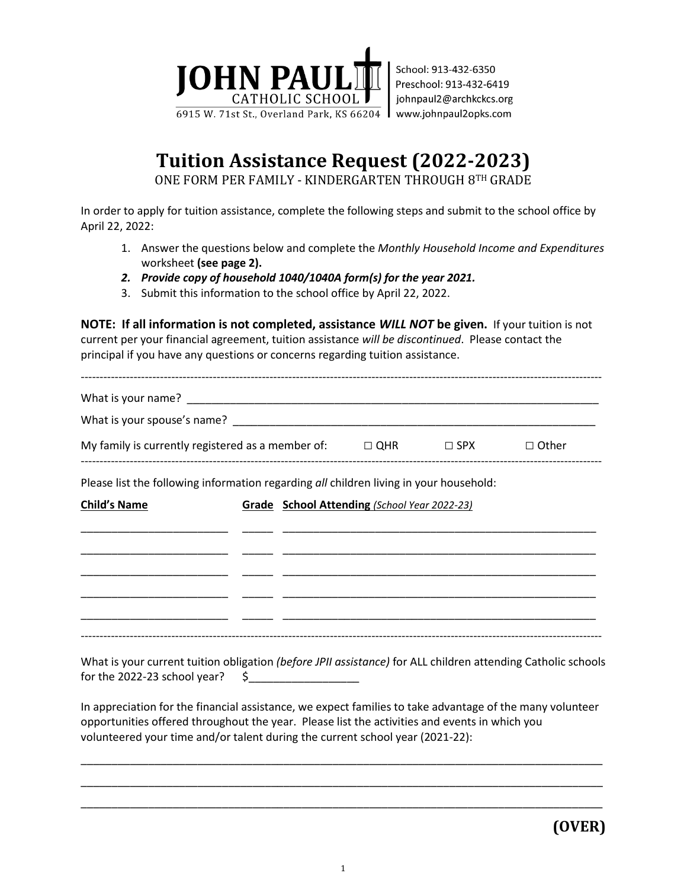

## **Tuition Assistance Request (2022-2023)**

ONE FORM PER FAMILY - KINDERGARTEN THROUGH 8TH GRADE

In order to apply for tuition assistance, complete the following steps and submit to the school office by April 22, 2022:

- 1. Answer the questions below and complete the *Monthly Household Income and Expenditures* worksheet **(see page 2).**
- *2. Provide copy of household 1040/1040A form(s) for the year 2021.*
- 3. Submit this information to the school office by April 22, 2022.

**NOTE: If all information is not completed, assistance** *WILL NOT* **be given.** If your tuition is not current per your financial agreement, tuition assistance *will be discontinued*. Please contact the principal if you have any questions or concerns regarding tuition assistance.

| My family is currently registered as a member of: $\Box$ QHR $\Box$ SPX |  | $\Box$ Other                                 |  |
|-------------------------------------------------------------------------|--|----------------------------------------------|--|
|                                                                         |  | Grade School Attending (School Year 2022-23) |  |
|                                                                         |  |                                              |  |
|                                                                         |  |                                              |  |
| <b>Child's Name</b>                                                     |  |                                              |  |

What is your current tuition obligation *(before JPII assistance)* for ALL children attending Catholic schools for the 2022-23 school year?  $\zeta$ 

In appreciation for the financial assistance, we expect families to take advantage of the many volunteer opportunities offered throughout the year. Please list the activities and events in which you volunteered your time and/or talent during the current school year (2021-22):

\_\_\_\_\_\_\_\_\_\_\_\_\_\_\_\_\_\_\_\_\_\_\_\_\_\_\_\_\_\_\_\_\_\_\_\_\_\_\_\_\_\_\_\_\_\_\_\_\_\_\_\_\_\_\_\_\_\_\_\_\_\_\_\_\_\_\_\_\_\_\_\_\_\_\_\_\_\_\_\_\_\_\_\_\_ \_\_\_\_\_\_\_\_\_\_\_\_\_\_\_\_\_\_\_\_\_\_\_\_\_\_\_\_\_\_\_\_\_\_\_\_\_\_\_\_\_\_\_\_\_\_\_\_\_\_\_\_\_\_\_\_\_\_\_\_\_\_\_\_\_\_\_\_\_\_\_\_\_\_\_\_\_\_\_\_\_\_\_\_\_ \_\_\_\_\_\_\_\_\_\_\_\_\_\_\_\_\_\_\_\_\_\_\_\_\_\_\_\_\_\_\_\_\_\_\_\_\_\_\_\_\_\_\_\_\_\_\_\_\_\_\_\_\_\_\_\_\_\_\_\_\_\_\_\_\_\_\_\_\_\_\_\_\_\_\_\_\_\_\_\_\_\_\_\_\_